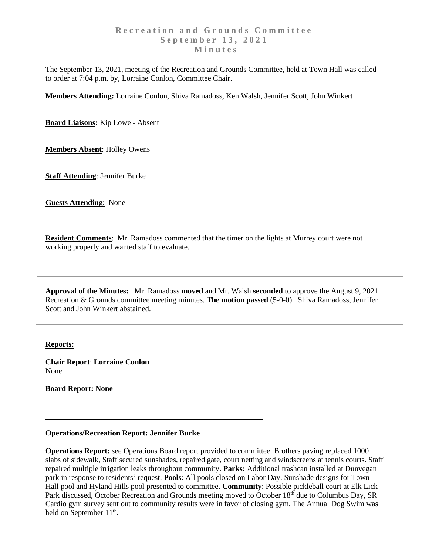The September 13, 2021, meeting of the Recreation and Grounds Committee, held at Town Hall was called to order at 7:04 p.m. by, Lorraine Conlon, Committee Chair.

**Members Attending:** Lorraine Conlon, Shiva Ramadoss, Ken Walsh, Jennifer Scott, John Winkert

**Board Liaisons:** Kip Lowe - Absent

**Members Absent**: Holley Owens

**Staff Attending**: Jennifer Burke

**Guests Attending**: None

**Resident Comments**: Mr. Ramadoss commented that the timer on the lights at Murrey court were not working properly and wanted staff to evaluate.

**Approval of the Minutes:** Mr. Ramadoss **moved** and Mr. Walsh **seconded** to approve the August 9, 2021 Recreation & Grounds committee meeting minutes. **The motion passed** (5-0-0). Shiva Ramadoss, Jennifer Scott and John Winkert abstained.

## **Reports:**

**Chair Report**: **Lorraine Conlon** None

**Board Report: None**

## **Operations/Recreation Report: Jennifer Burke**

**Operations Report:** see Operations Board report provided to committee. Brothers paving replaced 1000 slabs of sidewalk, Staff secured sunshades, repaired gate, court netting and windscreens at tennis courts. Staff repaired multiple irrigation leaks throughout community. **Parks:** Additional trashcan installed at Dunvegan park in response to residents' request. **Pools**: All pools closed on Labor Day. Sunshade designs for Town Hall pool and Hyland Hills pool presented to committee. **Community**: Possible pickleball court at Elk Lick Park discussed, October Recreation and Grounds meeting moved to October 18<sup>th</sup> due to Columbus Day, SR Cardio gym survey sent out to community results were in favor of closing gym, The Annual Dog Swim was held on September 11<sup>th</sup>.